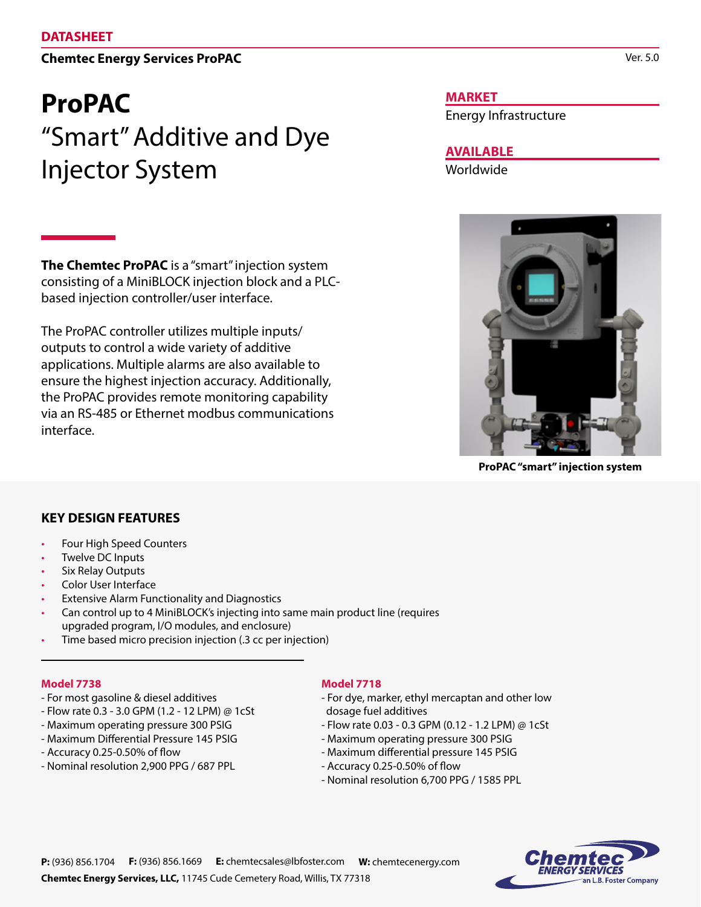## **Chemtec Energy Services ProPAC**

# **ProPAC**  "Smart" Additive and Dye Injector System

**The Chemtec ProPAC** is a "smart" injection system consisting of a MiniBLOCK injection block and a PLCbased injection controller/user interface.

The ProPAC controller utilizes multiple inputs/ outputs to control a wide variety of additive applications. Multiple alarms are also available to ensure the highest injection accuracy. Additionally, the ProPAC provides remote monitoring capability via an RS-485 or Ethernet modbus communications interface.

#### **MARKET**

Energy Infrastructure

**AVAILABLE**

Worldwide



**ProPAC "smart" injection system**

### **KEY DESIGN FEATURES**

- Four High Speed Counters
- Twelve DC Inputs
- Six Relay Outputs
- Color User Interface
- Extensive Alarm Functionality and Diagnostics
- Can control up to 4 MiniBLOCK's injecting into same main product line (requires upgraded program, I/O modules, and enclosure)
- Time based micro precision injection (.3 cc per injection)

#### **Model 7738**

- For most gasoline & diesel additives
- Flow rate 0.3 3.0 GPM (1.2 12 LPM) @ 1cSt
- Maximum operating pressure 300 PSIG
- Maximum Differential Pressure 145 PSIG
- Accuracy 0.25-0.50% of flow
- Nominal resolution 2,900 PPG / 687 PPL

#### **Model 7718**

- For dye, marker, ethyl mercaptan and other low dosage fuel additives
- Flow rate 0.03 0.3 GPM (0.12 1.2 LPM) @ 1cSt
- Maximum operating pressure 300 PSIG
- Maximum differential pressure 145 PSIG
- Accuracy 0.25-0.50% of flow
- Nominal resolution 6,700 PPG / 1585 PPL